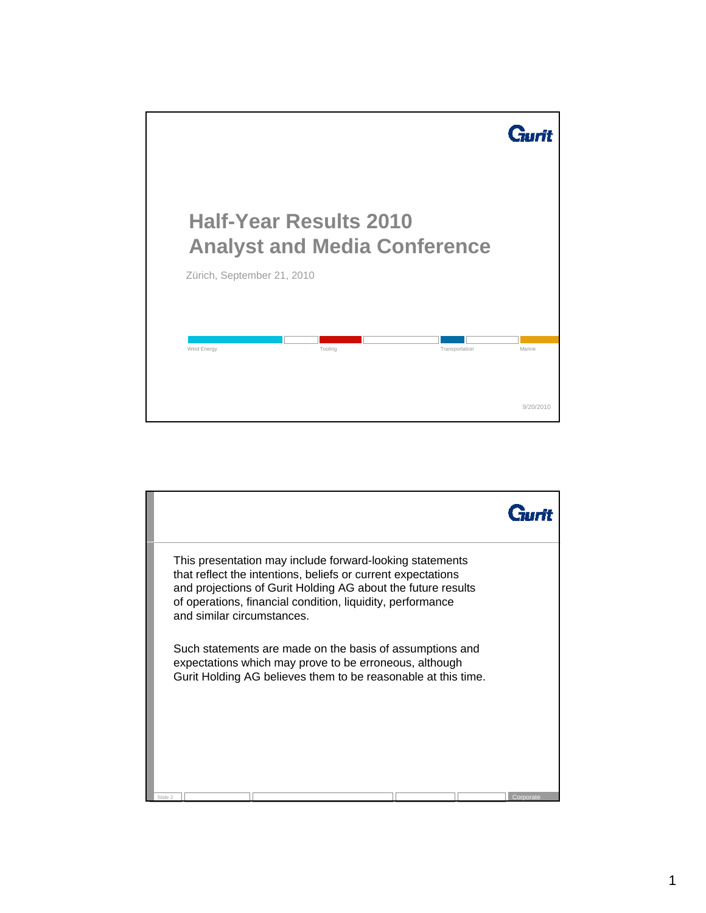

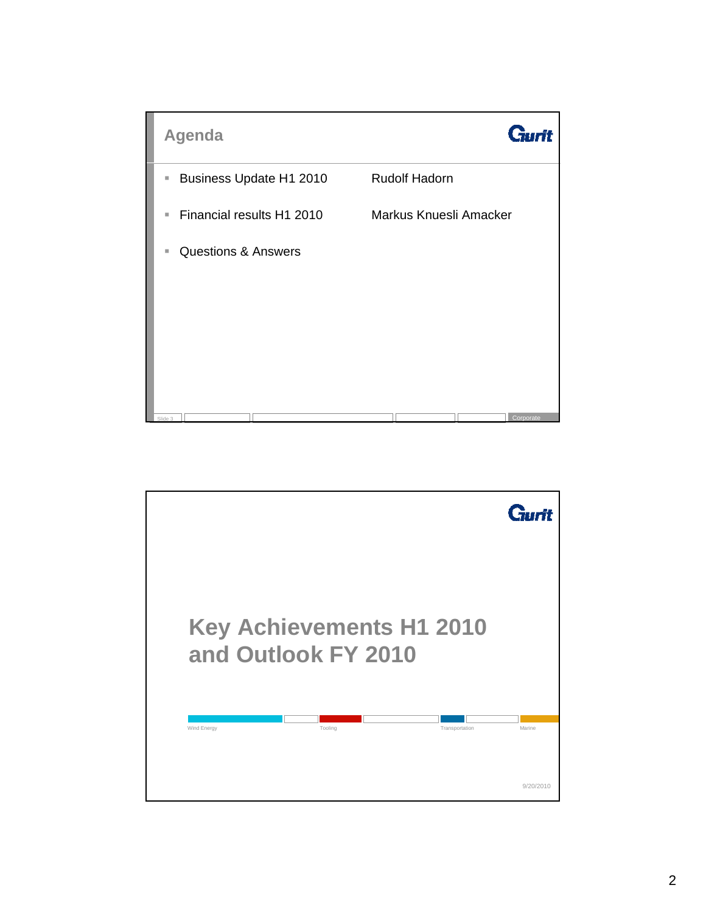

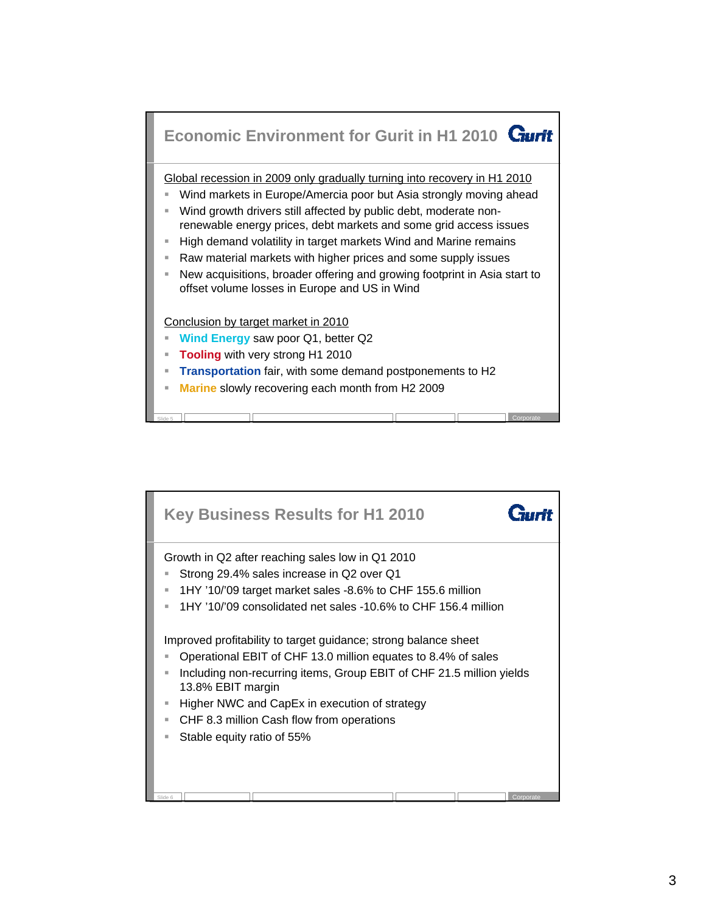

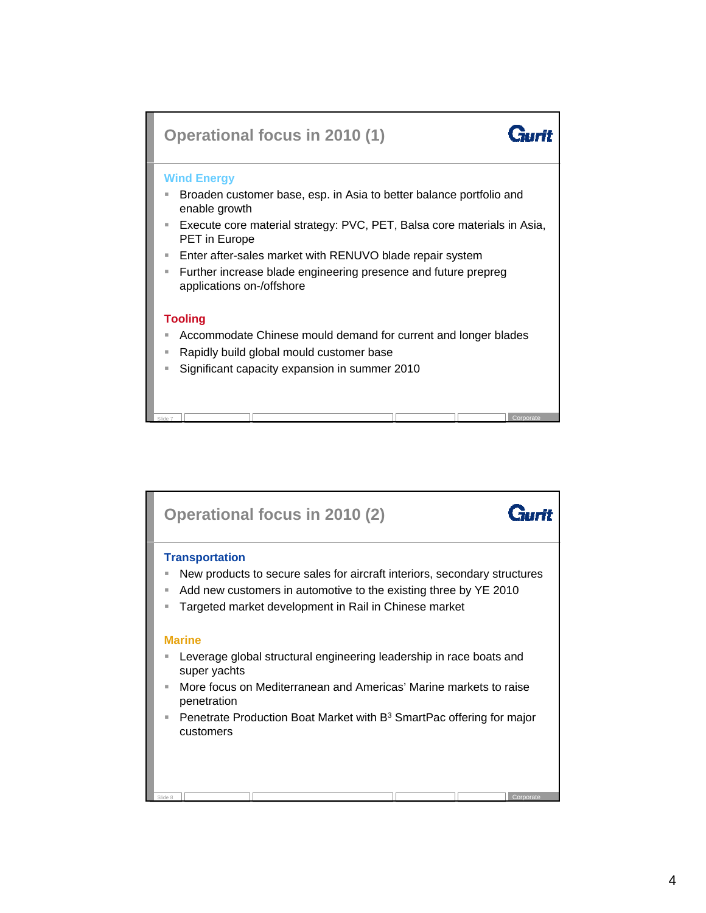

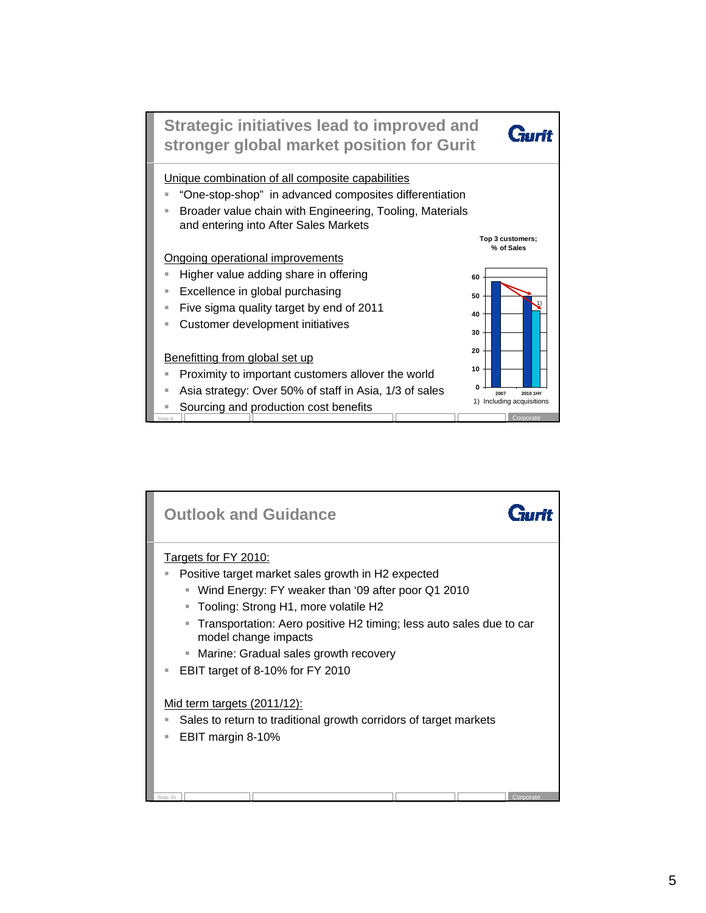

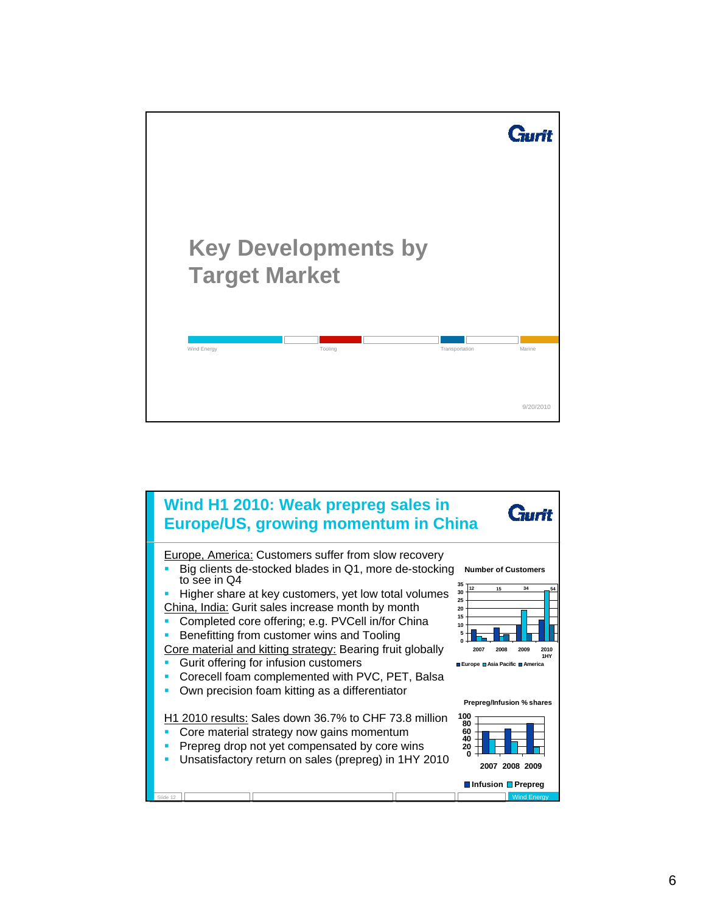

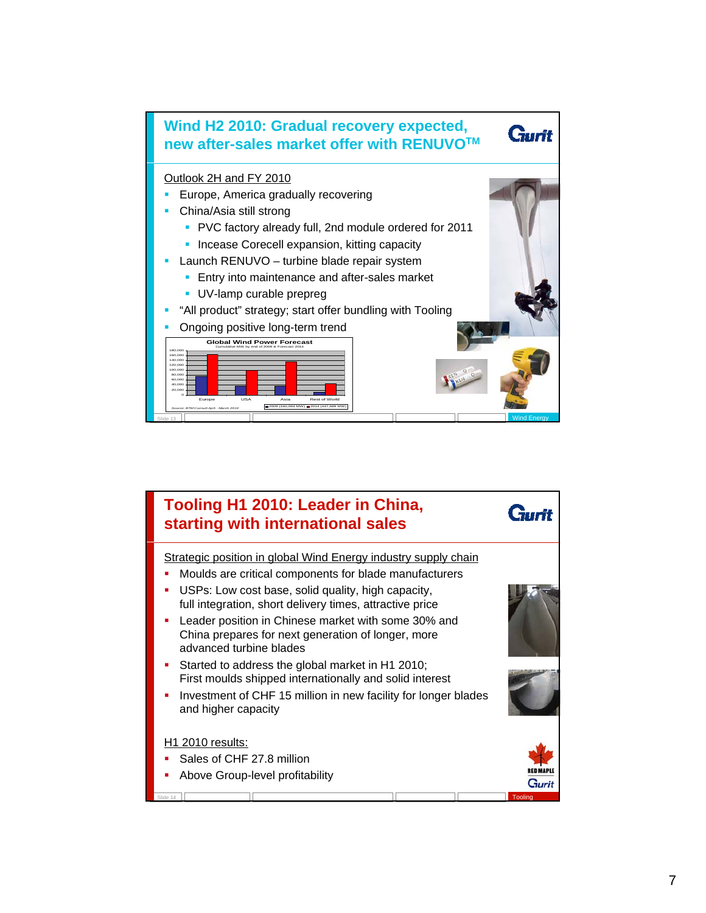

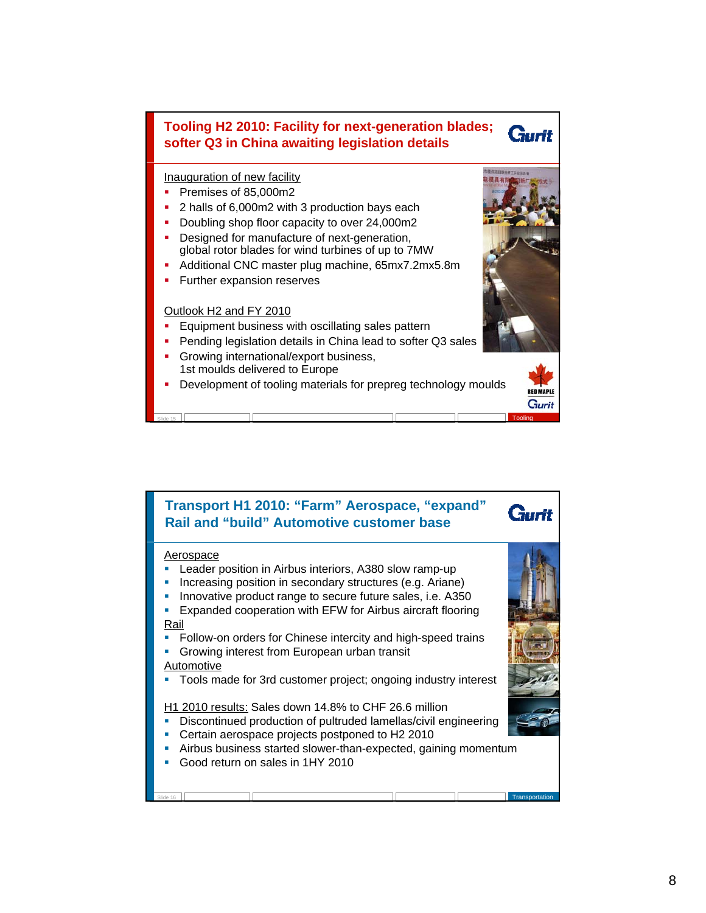## **Tooling H2 2010: Facility for next-generation blades; softer Q3 in China awaiting legislation details**

## Inauguration of new facility

- Premises of 85,000m2
- 2 halls of 6,000m2 with 3 production bays each
- Doubling shop floor capacity to over 24,000m2 **-** Designed for manufacture of next-generation, global rotor blades for wind turbines of up to 7MW
- Additional CNC master plug machine, 65mx7.2mx5.8m
- **Further expansion reserves**

## Outlook H2 and FY 2010

- Equipment business with oscillating sales pattern
- **Pending legislation details in China lead to softer Q3 sales**
- Growing international/export business, 1st moulds delivered to Europe
- Development of tooling materials for prepreg technology moulds

Slide 15 **Tooling The College of the College of the College of the College of the College of the College of the College of the College of the College of the College of the College of the College of the College of the Col** 



**RFB MAPLE** Gurit

**Gurit** 

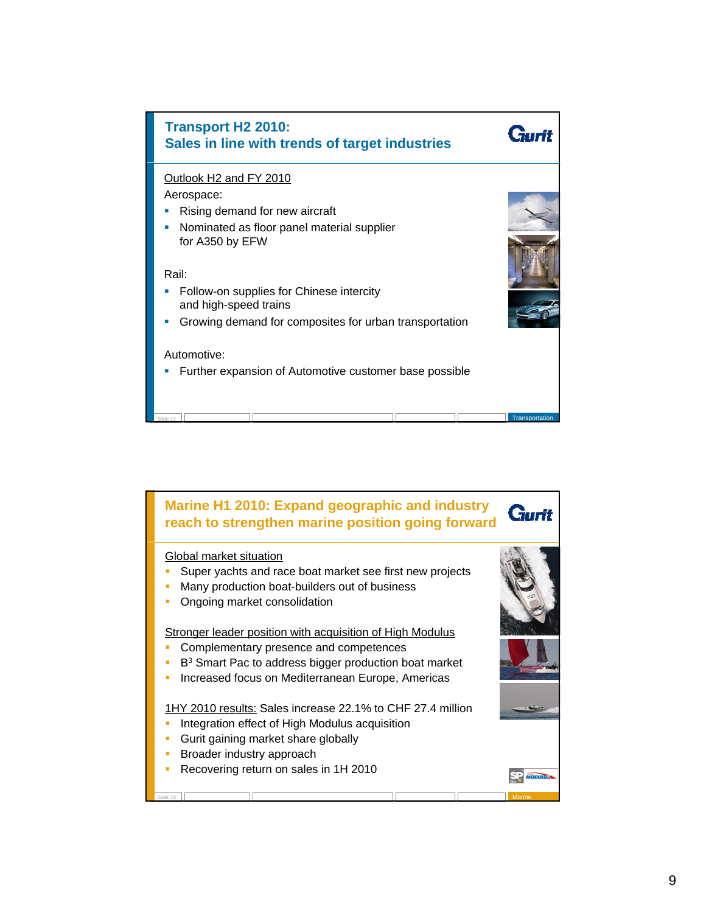

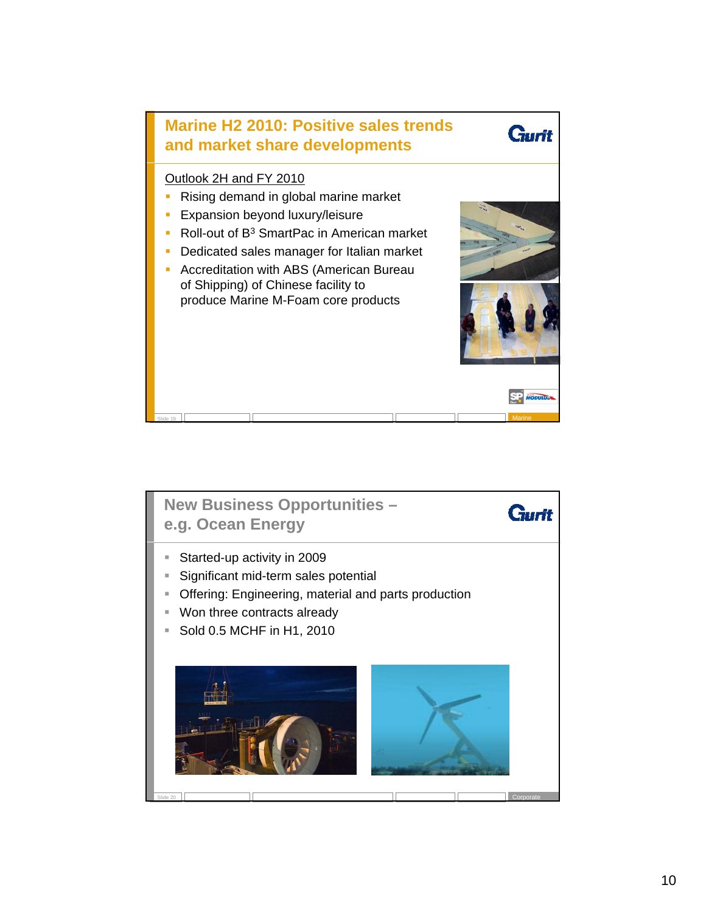

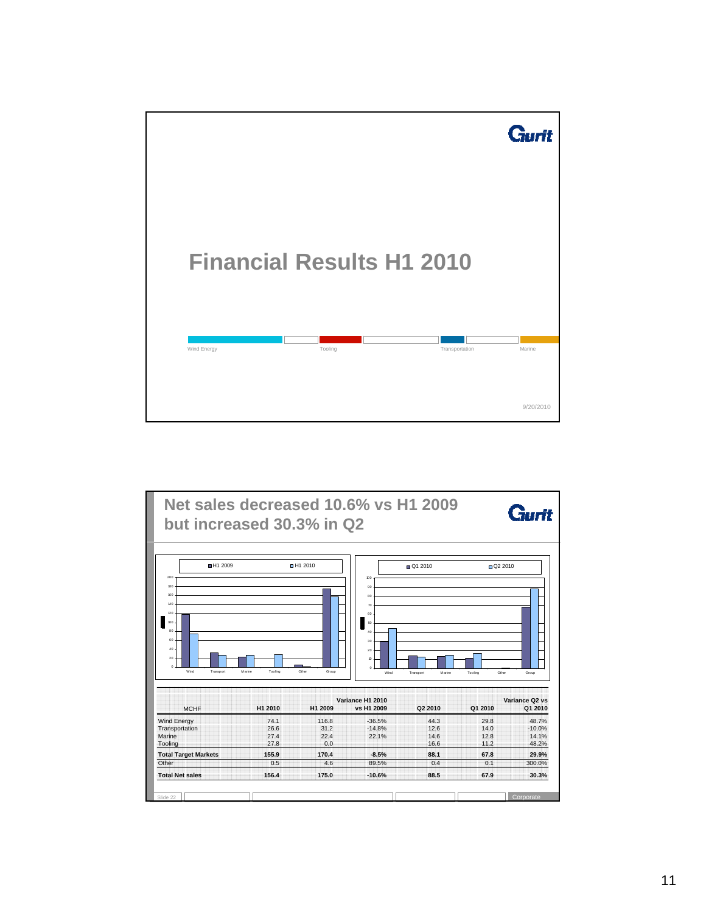

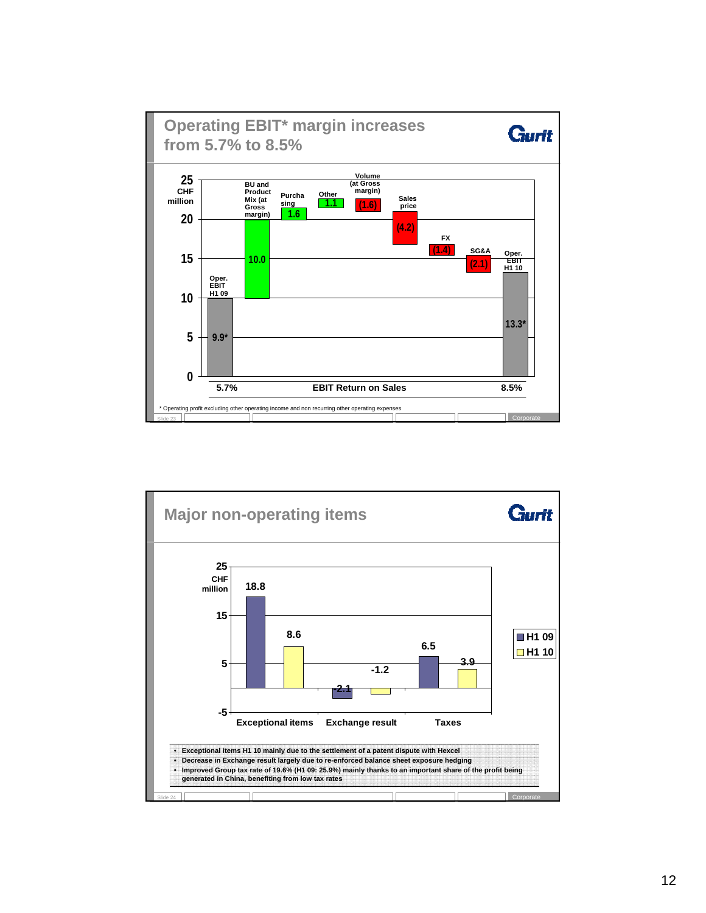

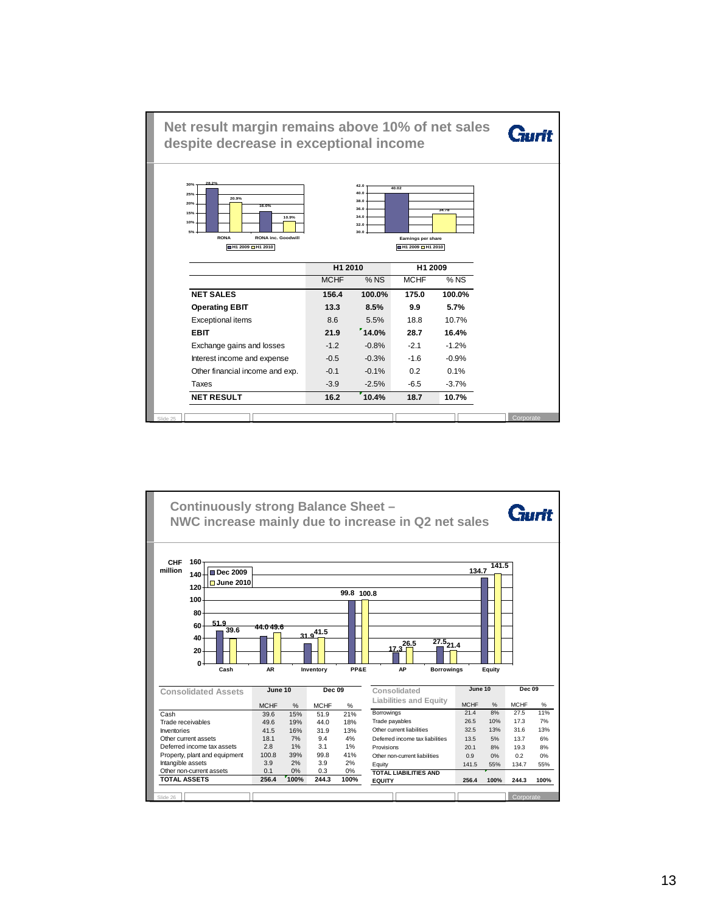

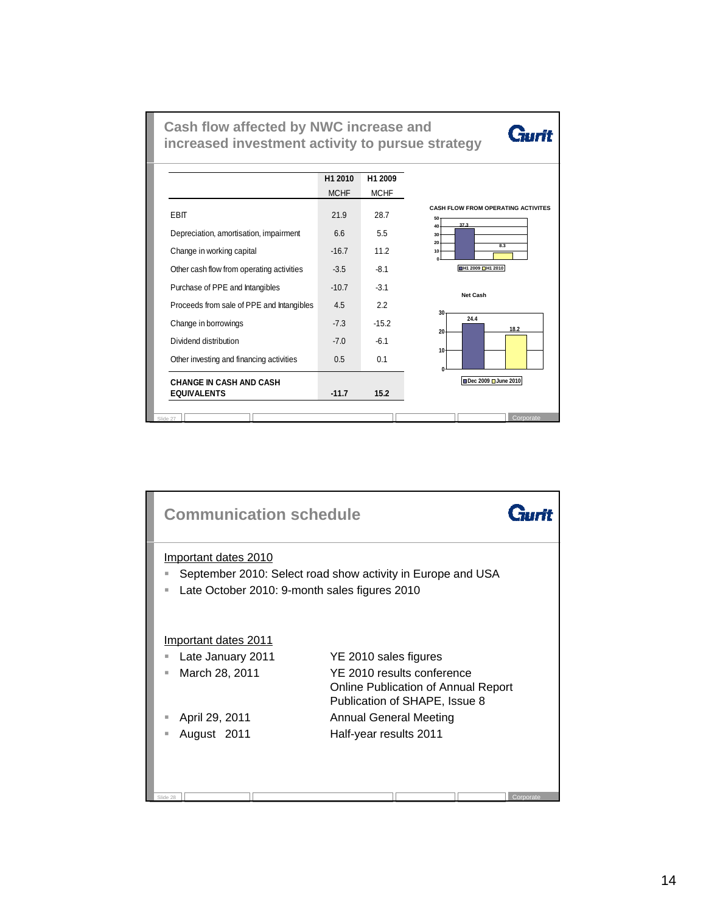